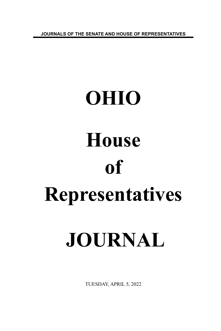**JOURNALS OF THE SENATE AND HOUSE OF REPRESENTATIVES**

# **OHIO House of Representatives JOURNAL**

TUESDAY, APRIL 5, 2022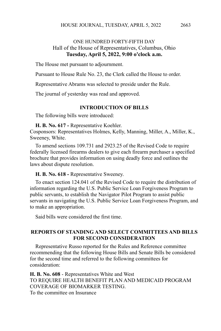# ONE HUNDRED FORTY-FIFTH DAY Hall of the House of Representatives, Columbus, Ohio **Tuesday, April 5, 2022, 9:00 o'clock a.m.**

The House met pursuant to adjournment.

Pursuant to House Rule No. 23, the Clerk called the House to order.

Representative Abrams was selected to preside under the Rule.

The journal of yesterday was read and approved.

#### **INTRODUCTION OF BILLS**

The following bills were introduced:

**H. B. No. 617 -** Representative Koehler.

Cosponsors: Representatives Holmes, Kelly, Manning, Miller, A., Miller, K., Sweeney, White.

To amend sections 109.731 and 2923.25 of the Revised Code to require federally licensed firearms dealers to give each firearm purchaser a specified brochure that provides information on using deadly force and outlines the laws about dispute resolution.

#### **H. B. No. 618 -** Representative Sweeney.

To enact section 124.041 of the Revised Code to require the distribution of information regarding the U.S. Public Service Loan Forgiveness Program to public servants, to establish the Navigator Pilot Program to assist public servants in navigating the U.S. Public Service Loan Forgiveness Program, and to make an appropriation.

Said bills were considered the first time.

#### **REPORTS OF STANDING AND SELECT COMMITTEES AND BILLS FOR SECOND CONSIDERATION**

Representative Russo reported for the Rules and Reference committee recommending that the following House Bills and Senate Bills be considered for the second time and referred to the following committees for consideration:

**H. B. No. 608** - Representatives White and West TO REQUIRE HEALTH BENEFIT PLAN AND MEDICAID PROGRAM COVERAGE OF BIOMARKER TESTING. To the committee on Insurance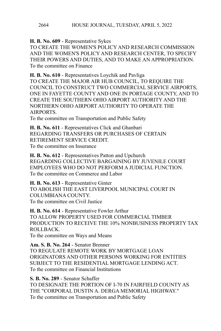**H. B. No. 609** - Representative Sykes

TO CREATE THE WOMEN'S POLICY AND RESEARCH COMMISSION AND THE WOMEN'S POLICY AND RESEARCH CENTER, TO SPECIFY THEIR POWERS AND DUTIES, AND TO MAKE AN APPROPRIATION. To the committee on Finance

**H. B. No. 610** - Representatives Loychik and Pavliga TO CREATE THE MAJOR AIR HUB COUNCIL, TO REQUIRE THE COUNCIL TO CONSTRUCT TWO COMMERCIAL SERVICE AIRPORTS, ONE IN FAYETTE COUNTY AND ONE IN PORTAGE COUNTY, AND TO CREATE THE SOUTHERN OHIO AIRPORT AUTHORITY AND THE NORTHERN OHIO AIRPORT AUTHORITY TO OPERATE THE AIRPORTS.

To the committee on Transportation and Public Safety

**H. B. No. 611** - Representatives Click and Ghanbari REGARDING TRANSFERS OR PURCHASES OF CERTAIN RETIREMENT SERVICE CREDIT. To the committee on Insurance

**H. B. No. 612** - Representatives Patton and Upchurch REGARDING COLLECTIVE BARGAINING BY JUVENILE COURT EMPLOYEES WHO DO NOT PERFORM A JUDICIAL FUNCTION. To the committee on Commerce and Labor

**H. B. No. 613** - Representative Ginter TO ABOLISH THE EAST LIVERPOOL MUNICIPAL COURT IN COLUMBIANA COUNTY. To the committee on Civil Justice

**H. B. No. 614** - Representative Fowler Arthur TO ALLOW PROPERTY USED FOR COMMERCIAL TIMBER PRODUCTION TO RECEIVE THE 10% NONBUSINESS PROPERTY TAX ROLLBACK. To the committee on Ways and Means

**Am. S. B. No. 264** - Senator Brenner

TO REGULATE REMOTE WORK BY MORTGAGE LOAN ORIGINATORS AND OTHER PERSONS WORKING FOR ENTITIES SUBJECT TO THE RESIDENTIAL MORTGAGE LENDING ACT. To the committee on Financial Institutions

**S. B. No. 289** - Senator Schaffer TO DESIGNATE THE PORTION OF I-70 IN FAIRFIELD COUNTY AS THE "CORPORAL DUSTIN A. DERGA MEMORIAL HIGHWAY." To the committee on Transportation and Public Safety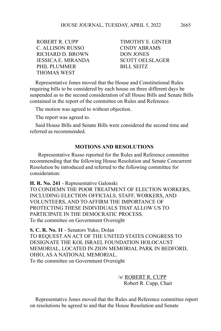C. ALLISON RUSSO CINDY ABRAMS RICHARD D. BROWN DON JONES JESSICA E. MIRANDA SCOTT OELSLAGER PHIL PLUMMER
BILL SEITZ THOMAS WEST

ROBERT R CUPP TIMOTHY E. GINTER

Representative Jones moved that the House and Constitutional Rules requiring bills to be considered by each house on three different days be suspended as to the second consideration of all House Bills and Senate Bills contained in the report of the committee on Rules and Reference.

The motion was agreed to without objection.

The report was agreed to.

Said House Bills and Senate Bills were considered the second time and referred as recommended.

#### **MOTIONS AND RESOLUTIONS**

 Representative Russo reported for the Rules and Reference committee recommending that the following House Resolution and Senate Concurrent Resolution be introduced and referred to the following committee for consideration:

**H. R. No. 241** - Representative Galonski TO CONDEMN THE POOR TREATMENT OF ELECTION WORKERS, INCLUDING ELECTION OFFICIALS, STAFF, WORKERS, AND VOLUNTEERS, AND TO AFFIRM THE IMPORTANCE OF PROTECTING THESE INDIVIDUALS THAT ALLOW US TO PARTICIPATE IN THE DEMOCRATIC PROCESS. To the committee on Government Oversight

**S. C. R. No. 11** - Senators Yuko, Dolan TO REQUEST AN ACT OF THE UNITED STATES CONGRESS TO DESIGNATE THE KOL ISRAEL FOUNDATION HOLOCAUST MEMORIAL, LOCATED IN ZION MEMORIAL PARK IN BEDFORD, OHIO, AS A NATIONAL MEMORIAL. To the committee on Government Oversight

> /s/ ROBERT R. CUPP Robert R. Cupp, Chair

Representative Jones moved that the Rules and Reference committee report on resolutions be agreed to and that the House Resolution and Senate

2665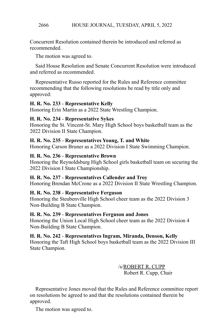Concurrent Resolution contained therein be introduced and referred as recommended.

The motion was agreed to.

Said House Resolution and Senate Concurrent Resolution were introduced and referred as recommended.

Representative Russo reported for the Rules and Reference committee recommending that the following resolutions be read by title only and approved:

# **H. R. No. 233** - **Representative Kelly**

Honoring Erin Martin as a 2022 State Wrestling Champion.

# **H. R. No. 234** - **Representative Sykes**

Honoring the St. Vincent-St. Mary High School boys basketball team as the 2022 Division II State Champion.

# **H. R. No. 235** - **Representatives Young, T. and White**

Honoring Carson Bruner as a 2022 Division I State Swimming Champion.

#### **H. R. No. 236** - **Representative Brown**

Honoring the Reynoldsburg High School girls basketball team on securing the 2022 Division I State Championship.

# **H. R. No. 237** - **Representatives Callender and Troy**

Honoring Brendan McCrone as a 2022 Division II State Wrestling Champion.

# **H. R. No. 238** - **Representative Ferguson**

Honoring the Steubenville High School cheer team as the 2022 Division 3 Non-Building B State Champion.

#### **H. R. No. 239** - **Representatives Ferguson and Jones**

Honoring the Union Local High School cheer team as the 2022 Division 4 Non-Building B State Champion.

# **H. R. No. 242** - **Representatives Ingram, Miranda, Denson, Kelly**

Honoring the Taft High School boys basketball team as the 2022 Division III State Champion.

> /s/ROBERT R. CUPP Robert R. Cupp, Chair

Representative Jones moved that the Rules and Reference committee report on resolutions be agreed to and that the resolutions contained therein be approved.

The motion was agreed to.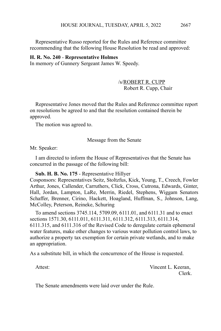Representative Russo reported for the Rules and Reference committee recommending that the following House Resolution be read and approved:

#### **H. R. No. 240** - **Representative Holmes**

In memory of Gunnery Sergeant James W. Speedy.

#### /s/ROBERT R. CUPP Robert R. Cupp, Chair

Representative Jones moved that the Rules and Reference committee report on resolutions be agreed to and that the resolution contained therein be approved.

The motion was agreed to.

Message from the Senate

Mr. Speaker:

I am directed to inform the House of Representatives that the Senate has concurred in the passage of the following bill:

**Sub. H. B. No. 175** - Representative Hillyer

Cosponsors: Representatives Seitz, Stoltzfus, Kick, Young, T., Creech, Fowler Arthur, Jones, Callender, Carruthers, Click, Cross, Cutrona, Edwards, Ginter, Hall, Jordan, Lampton, LaRe, Merrin, Riedel, Stephens, Wiggam Senators Schaffer, Brenner, Cirino, Hackett, Hoagland, Huffman, S., Johnson, Lang, McColley, Peterson, Reineke, Schuring

To amend sections 3745.114, 5709.09, 6111.01, and 6111.31 and to enact sections 1571.30, 6111.011, 6111.311, 6111.312, 6111.313, 6111.314, 6111.315, and 6111.316 of the Revised Code to deregulate certain ephemeral water features, make other changes to various water pollution control laws, to authorize a property tax exemption for certain private wetlands, and to make an appropriation.

As a substitute bill, in which the concurrence of the House is requested.

Attest: Vincent L. Keeran, Clerk.

The Senate amendments were laid over under the Rule.